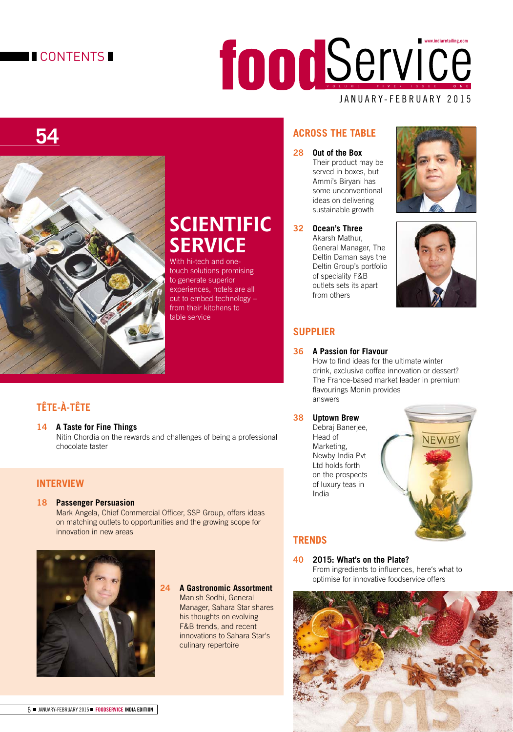# **CONTENTS**

# JANUARY-FEBRUARY 2015 VOLUME FIVE • ISSUE ONE **www.indiaretailing.com**

# **54**



# **SCIENTIFIC SERVICE**

With hi-tech and onetouch solutions promising to generate superior experiences, hotels are all out to embed technology – from their kitchens to table service

# **TÊTE-À-TÊTE**

**14 A Taste for Fine Things** Nitin Chordia on the rewards and challenges of being a professional chocolate taster

# **INTERVIEW**

#### **18 Passenger Persuasion**

Mark Angela, Chief Commercial Officer, SSP Group, offers ideas on matching outlets to opportunities and the growing scope for innovation in new areas



#### **24 A Gastronomic Assortment**

 Manish Sodhi, General Manager, Sahara Star shares his thoughts on evolving F&B trends, and recent innovations to Sahara Star's culinary repertoire

# **ACROSS THE TABLE**

**28 Out of the Box**  Their product may be served in boxes, but Ammi's Biryani has some unconventional ideas on delivering sustainable growth

**32 Ocean's Three**  Akarsh Mathur, General Manager, The Deltin Daman says the Deltin Group's portfolio of speciality F&B outlets sets its apart from others





# **SUPPLIER**

#### **36 A Passion for Flavour**

How to find ideas for the ultimate winter drink, exclusive coffee innovation or dessert? The France-based market leader in premium flavourings Monin provides answers

#### **38 Uptown Brew**

 Debraj Banerjee, Head of Marketing, Newby India Pvt Ltd holds forth on the prospects of luxury teas in India



# **TRENDS**

#### **40 2015: What's on the Plate?**

From ingredients to influences, here's what to optimise for innovative foodservice offers